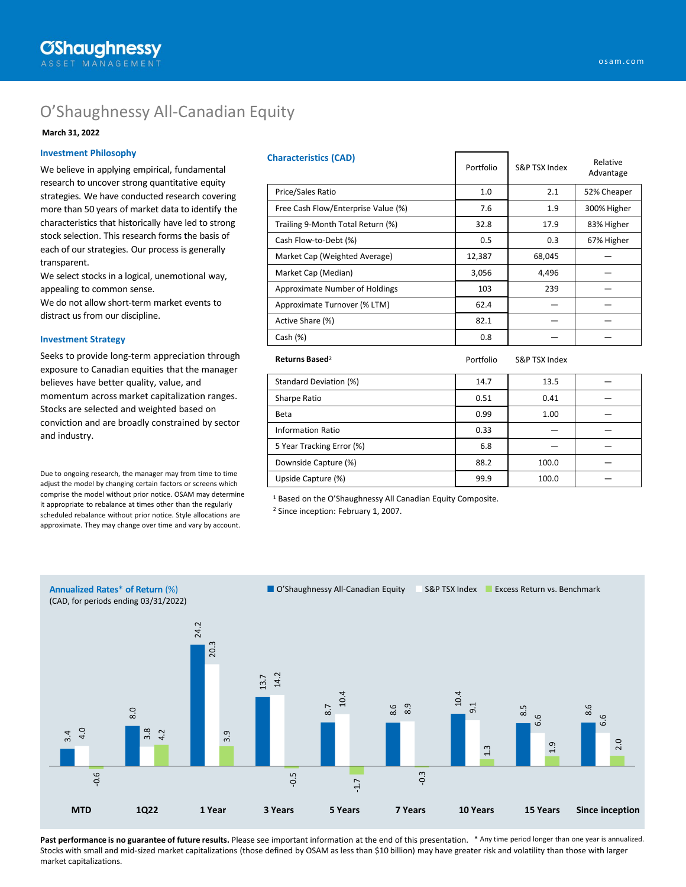# O'Shaughnessy All-Canadian Equity

#### **March 31, 2022**

#### **Investment Philosophy**

We believe in applying empirical, fundamental research to uncover strong quantitative equity strategies. We have conducted research covering more than 50 years of market data to identify the characteristics that historically have led to strong stock selection. This research forms the basis of each of our strategies. Our process is generally transparent.

We select stocks in a logical, unemotional way, appealing to common sense.

We do not allow short-term market events to distract us from our discipline.

#### **Investment Strategy**

Seeks to provide long-term appreciation through exposure to Canadian equities that the manager believes have better quality, value, and momentum across market capitalization ranges. Stocks are selected and weighted based on conviction and are broadly constrained by sector and industry.

Due to ongoing research, the manager may from time to time adjust the model by changing certain factors or screens which comprise the model without prior notice. OSAM may determine it appropriate to rebalance at times other than the regularly scheduled rebalance without prior notice. Style allocations are approximate. They may change over time and vary by account.

| <b>Characteristics (CAD)</b>        | Portfolio | S&P TSX Index | Relative<br>Advantage |  |
|-------------------------------------|-----------|---------------|-----------------------|--|
| Price/Sales Ratio                   | 1.0       | 2.1           | 52% Cheaper           |  |
| Free Cash Flow/Enterprise Value (%) | 7.6       | 1.9           | 300% Higher           |  |
| Trailing 9-Month Total Return (%)   | 32.8      | 17.9          | 83% Higher            |  |
| Cash Flow-to-Debt (%)               | 0.5       | 0.3           | 67% Higher            |  |
| Market Cap (Weighted Average)       | 12,387    | 68,045        |                       |  |
| Market Cap (Median)                 | 3,056     | 4,496         |                       |  |
| Approximate Number of Holdings      | 103       | 239           |                       |  |
| Approximate Turnover (% LTM)        | 62.4      |               |                       |  |
| Active Share (%)                    | 82.1      |               |                       |  |
| Cash (%)                            | 0.8       |               |                       |  |
| Returns Based <sup>2</sup>          | Portfolio | S&P TSX Index |                       |  |
| Standard Deviation (%)              | 14.7      | 13.5          |                       |  |
| Sharpe Ratio                        | 0.51      | 0.41          |                       |  |
| <b>Beta</b>                         | 0.99      | 1.00          |                       |  |
| <b>Information Ratio</b>            | 0.33      |               |                       |  |
| 5 Year Tracking Error (%)           | 6.8       |               |                       |  |
| Downside Capture (%)                | 88.2      | 100.0         |                       |  |
| Upside Capture (%)                  | 99.9      | 100.0         |                       |  |

<sup>1</sup> Based on the O'Shaughnessy All Canadian Equity Composite.

<sup>2</sup> Since inception: February 1, 2007.



Past performance is no guarantee of future results. Please see important information at the end of this presentation. <sup>\*</sup> Any time period longer than one year is annualized. Stocks with small and mid-sized market capitalizations (those defined by OSAM as less than \$10 billion) may have greater risk and volatility than those with larger market capitalizations.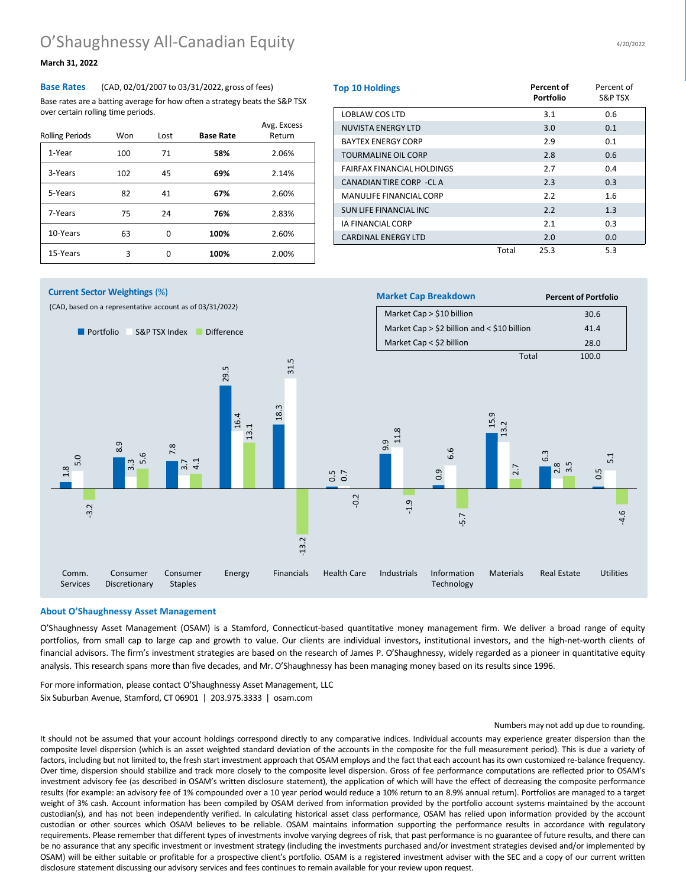### **March 31, 2022**

**Base Rates** (CAD, 02/01/2007 to 03/31/2022, gross of fees) Base rates are a batting average for how often a strategy beats the S&P TSX over certain rolling time periods.

| <b>Rolling Periods</b> | Won | Lost | <b>Base Rate</b> | Avg. Excess<br>Return |
|------------------------|-----|------|------------------|-----------------------|
| 1-Year                 | 100 | 71   | 58%              | 2.06%                 |
| 3-Years                | 102 | 45   | 69%              | 2.14%                 |
| 5-Years                | 82  | 41   | 67%              | 2.60%                 |
| 7-Years                | 75  | 24   | 76%              | 2.83%                 |
| 10-Years               | 63  | 0    | 100%             | 2.60%                 |
| 15-Years               | 3   | ŋ    | 100%             | 2.00%                 |

| <b>Top 10 Holdings</b>            |       | <b>Percent of</b><br><b>Portfolio</b> | Percent of<br>S&P TSX |
|-----------------------------------|-------|---------------------------------------|-----------------------|
| LOBLAW COS LTD                    |       | 3.1                                   | 0.6                   |
| NUVISTA ENERGY LTD                |       | 3.0                                   | 0.1                   |
| <b>BAYTEX ENERGY CORP</b>         |       | 2.9                                   | 0.1                   |
| <b>TOURMALINE OIL CORP</b>        |       | 2.8                                   | 0.6                   |
| <b>FAIRFAX FINANCIAL HOLDINGS</b> |       | 2.7                                   | 0.4                   |
| CANADIAN TIRE CORP - CL A         |       | 2.3                                   | 0.3                   |
| <b>MANULIFE FINANCIAL CORP</b>    |       | 2.2                                   | 1.6                   |
| <b>SUN LIFE FINANCIAL INC</b>     |       | 2.2                                   | 1.3                   |
| <b>IA FINANCIAL CORP</b>          |       | 2.1                                   | 0.3                   |
| <b>CARDINAL ENERGY LTD</b>        |       | 2.0                                   | 0.0                   |
|                                   | Total | 25.3                                  | 5.3                   |

#### $\infty$ თ<br>თ 7.8 29.5 18.3 0.5 0.7 9.9 0.9 15.9 6.3 0.5 5.0 3.3 3.7 16.4 31.5 11.8 6.6 13.2 2.8 3.5 5.1 -3.2 5.6  $\overline{4}$ 13.1 -13.2 -0.2 -1.9 -5.7 2.7  $\omega$ ■ Portfolio ■ S&P TSX Index ■ Difference (CAD, based on a representative account as of 03/31/2022) **Market Cap Breakdown Percent of Portfolio** Market Cap > \$10 billion 30.6 Market Cap  $>$  \$2 billion and < \$10 billion 41.4 Market Cap < \$2 billion 28.0 Total 100.0 Comm. Services Consumer Discretionary Consumer Staples Energy Financials Health Care Industrials Information Technology Materials Real Estate Utilities **Current Sector Weightings** (%)

#### **About O'Shaughnessy Asset Management**

O'Shaughnessy Asset Management (OSAM) is a Stamford, Connecticut-based quantitative money management firm. We deliver a broad range of equity portfolios, from small cap to large cap and growth to value. Our clients are individual investors, institutional investors, and the high-net-worth clients of financial advisors. The firm's investment strategies are based on the research of James P. O'Shaughnessy, widely regarded as a pioneer in quantitative equity analysis. This research spans more than five decades, and Mr. O'Shaughnessy has been managing money based on its results since 1996.

For more information, please contact O'Shaughnessy Asset Management, LLC Six Suburban Avenue, Stamford, CT 06901 | 203.975.3333 | osam.com

#### Numbers may not add up due to rounding.

It should not be assumed that your account holdings correspond directly to any comparative indices. Individual accounts may experience greater dispersion than the composite level dispersion (which is an asset weighted standard deviation of the accounts in the composite for the full measurement period). This is due a variety of factors, including but not limited to, the fresh start investment approach that OSAM employs and the fact that each account has its own customized re-balance frequency. Over time, dispersion should stabilize and track more closely to the composite level dispersion. Gross of fee performance computations are reflected prior to OSAM's investment advisory fee (as described in OSAM's written disclosure statement), the application of which will have the effect of decreasing the composite performance results (for example: an advisory fee of 1% compounded over a 10 year period would reduce a 10% return to an 8.9% annual return). Portfolios are managed to a target weight of 3% cash. Account information has been compiled by OSAM derived from information provided by the portfolio account systems maintained by the account custodian(s), and has not been independently verified. In calculating historical asset class performance, OSAM has relied upon information provided by the account custodian or other sources which OSAM believes to be reliable. OSAM maintains information supporting the performance results in accordance with regulatory requirements. Please remember that different types of investments involve varying degrees of risk, that past performance is no guarantee of future results, and there can be no assurance that any specific investment or investment strategy (including the investments purchased and/or investment strategies devised and/or implemented by OSAM) will be either suitable or profitable for a prospective client's portfolio. OSAM is a registered investment adviser with the SEC and a copy of our current written disclosure statement discussing our advisory services and fees continues to remain available for your review upon request.